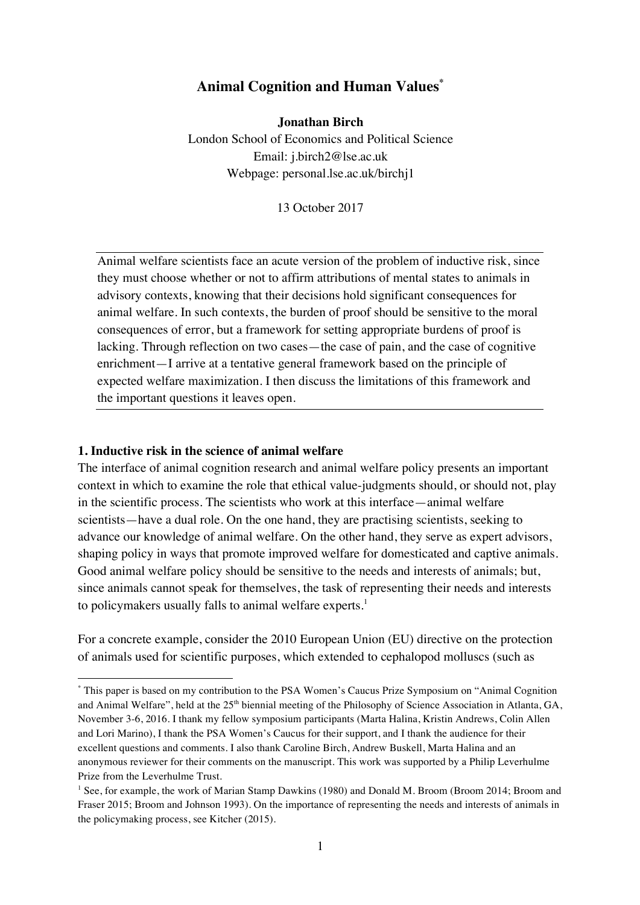# **Animal Cognition and Human Values\***

**Jonathan Birch**

London School of Economics and Political Science Email: j.birch2@lse.ac.uk Webpage: personal.lse.ac.uk/birchj1

13 October 2017

Animal welfare scientists face an acute version of the problem of inductive risk, since they must choose whether or not to affirm attributions of mental states to animals in advisory contexts, knowing that their decisions hold significant consequences for animal welfare. In such contexts, the burden of proof should be sensitive to the moral consequences of error, but a framework for setting appropriate burdens of proof is lacking. Through reflection on two cases—the case of pain, and the case of cognitive enrichment—I arrive at a tentative general framework based on the principle of expected welfare maximization. I then discuss the limitations of this framework and the important questions it leaves open.

#### **1. Inductive risk in the science of animal welfare**

 

The interface of animal cognition research and animal welfare policy presents an important context in which to examine the role that ethical value-judgments should, or should not, play in the scientific process. The scientists who work at this interface—animal welfare scientists—have a dual role. On the one hand, they are practising scientists, seeking to advance our knowledge of animal welfare. On the other hand, they serve as expert advisors, shaping policy in ways that promote improved welfare for domesticated and captive animals. Good animal welfare policy should be sensitive to the needs and interests of animals; but, since animals cannot speak for themselves, the task of representing their needs and interests to policymakers usually falls to animal welfare experts.<sup>1</sup>

For a concrete example, consider the 2010 European Union (EU) directive on the protection of animals used for scientific purposes, which extended to cephalopod molluscs (such as

<sup>\*</sup> This paper is based on my contribution to the PSA Women's Caucus Prize Symposium on "Animal Cognition and Animal Welfare", held at the 25<sup>th</sup> biennial meeting of the Philosophy of Science Association in Atlanta, GA, November 3-6, 2016. I thank my fellow symposium participants (Marta Halina, Kristin Andrews, Colin Allen and Lori Marino), I thank the PSA Women's Caucus for their support, and I thank the audience for their excellent questions and comments. I also thank Caroline Birch, Andrew Buskell, Marta Halina and an anonymous reviewer for their comments on the manuscript. This work was supported by a Philip Leverhulme Prize from the Leverhulme Trust.

<sup>&</sup>lt;sup>1</sup> See, for example, the work of Marian Stamp Dawkins (1980) and Donald M. Broom (Broom 2014; Broom and Fraser 2015; Broom and Johnson 1993). On the importance of representing the needs and interests of animals in the policymaking process, see Kitcher (2015).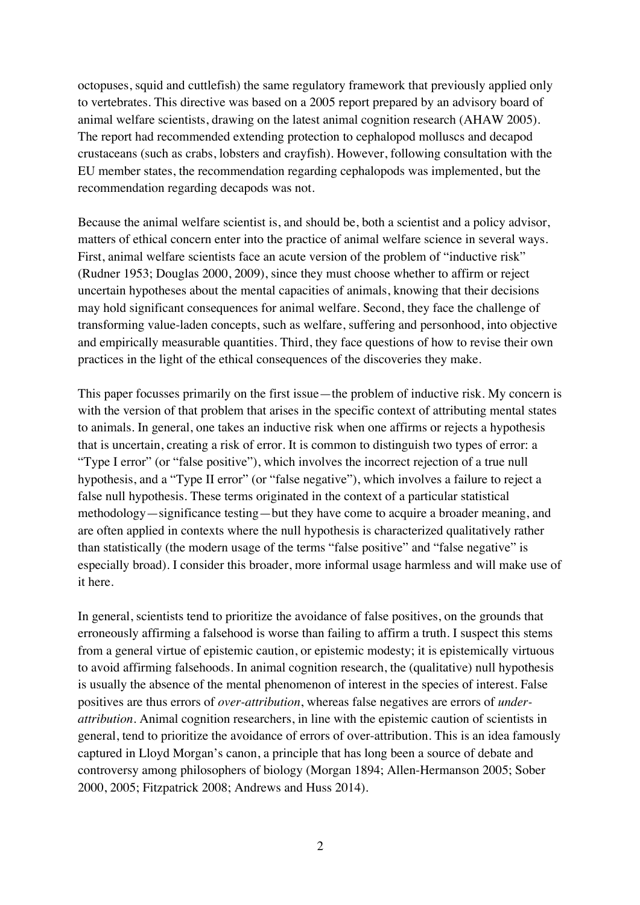octopuses, squid and cuttlefish) the same regulatory framework that previously applied only to vertebrates. This directive was based on a 2005 report prepared by an advisory board of animal welfare scientists, drawing on the latest animal cognition research (AHAW 2005). The report had recommended extending protection to cephalopod molluscs and decapod crustaceans (such as crabs, lobsters and crayfish). However, following consultation with the EU member states, the recommendation regarding cephalopods was implemented, but the recommendation regarding decapods was not.

Because the animal welfare scientist is, and should be, both a scientist and a policy advisor, matters of ethical concern enter into the practice of animal welfare science in several ways. First, animal welfare scientists face an acute version of the problem of "inductive risk" (Rudner 1953; Douglas 2000, 2009), since they must choose whether to affirm or reject uncertain hypotheses about the mental capacities of animals, knowing that their decisions may hold significant consequences for animal welfare. Second, they face the challenge of transforming value-laden concepts, such as welfare, suffering and personhood, into objective and empirically measurable quantities. Third, they face questions of how to revise their own practices in the light of the ethical consequences of the discoveries they make.

This paper focusses primarily on the first issue—the problem of inductive risk. My concern is with the version of that problem that arises in the specific context of attributing mental states to animals. In general, one takes an inductive risk when one affirms or rejects a hypothesis that is uncertain, creating a risk of error. It is common to distinguish two types of error: a "Type I error" (or "false positive"), which involves the incorrect rejection of a true null hypothesis, and a "Type II error" (or "false negative"), which involves a failure to reject a false null hypothesis. These terms originated in the context of a particular statistical methodology—significance testing—but they have come to acquire a broader meaning, and are often applied in contexts where the null hypothesis is characterized qualitatively rather than statistically (the modern usage of the terms "false positive" and "false negative" is especially broad). I consider this broader, more informal usage harmless and will make use of it here.

In general, scientists tend to prioritize the avoidance of false positives, on the grounds that erroneously affirming a falsehood is worse than failing to affirm a truth. I suspect this stems from a general virtue of epistemic caution, or epistemic modesty; it is epistemically virtuous to avoid affirming falsehoods. In animal cognition research, the (qualitative) null hypothesis is usually the absence of the mental phenomenon of interest in the species of interest. False positives are thus errors of *over-attribution*, whereas false negatives are errors of *underattribution*. Animal cognition researchers, in line with the epistemic caution of scientists in general, tend to prioritize the avoidance of errors of over-attribution. This is an idea famously captured in Lloyd Morgan's canon, a principle that has long been a source of debate and controversy among philosophers of biology (Morgan 1894; Allen-Hermanson 2005; Sober 2000, 2005; Fitzpatrick 2008; Andrews and Huss 2014).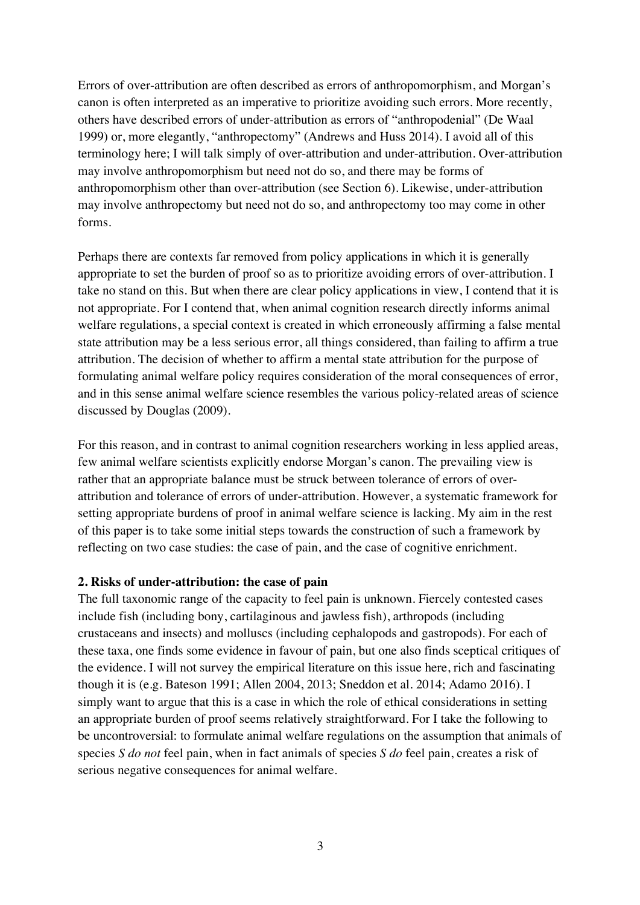Errors of over-attribution are often described as errors of anthropomorphism, and Morgan's canon is often interpreted as an imperative to prioritize avoiding such errors. More recently, others have described errors of under-attribution as errors of "anthropodenial" (De Waal 1999) or, more elegantly, "anthropectomy" (Andrews and Huss 2014). I avoid all of this terminology here; I will talk simply of over-attribution and under-attribution. Over-attribution may involve anthropomorphism but need not do so, and there may be forms of anthropomorphism other than over-attribution (see Section 6). Likewise, under-attribution may involve anthropectomy but need not do so, and anthropectomy too may come in other forms.

Perhaps there are contexts far removed from policy applications in which it is generally appropriate to set the burden of proof so as to prioritize avoiding errors of over-attribution. I take no stand on this. But when there are clear policy applications in view, I contend that it is not appropriate. For I contend that, when animal cognition research directly informs animal welfare regulations, a special context is created in which erroneously affirming a false mental state attribution may be a less serious error, all things considered, than failing to affirm a true attribution. The decision of whether to affirm a mental state attribution for the purpose of formulating animal welfare policy requires consideration of the moral consequences of error, and in this sense animal welfare science resembles the various policy-related areas of science discussed by Douglas (2009).

For this reason, and in contrast to animal cognition researchers working in less applied areas, few animal welfare scientists explicitly endorse Morgan's canon. The prevailing view is rather that an appropriate balance must be struck between tolerance of errors of overattribution and tolerance of errors of under-attribution. However, a systematic framework for setting appropriate burdens of proof in animal welfare science is lacking. My aim in the rest of this paper is to take some initial steps towards the construction of such a framework by reflecting on two case studies: the case of pain, and the case of cognitive enrichment.

## **2. Risks of under-attribution: the case of pain**

The full taxonomic range of the capacity to feel pain is unknown. Fiercely contested cases include fish (including bony, cartilaginous and jawless fish), arthropods (including crustaceans and insects) and molluscs (including cephalopods and gastropods). For each of these taxa, one finds some evidence in favour of pain, but one also finds sceptical critiques of the evidence. I will not survey the empirical literature on this issue here, rich and fascinating though it is (e.g. Bateson 1991; Allen 2004, 2013; Sneddon et al. 2014; Adamo 2016). I simply want to argue that this is a case in which the role of ethical considerations in setting an appropriate burden of proof seems relatively straightforward. For I take the following to be uncontroversial: to formulate animal welfare regulations on the assumption that animals of species *S do not* feel pain, when in fact animals of species *S do* feel pain, creates a risk of serious negative consequences for animal welfare.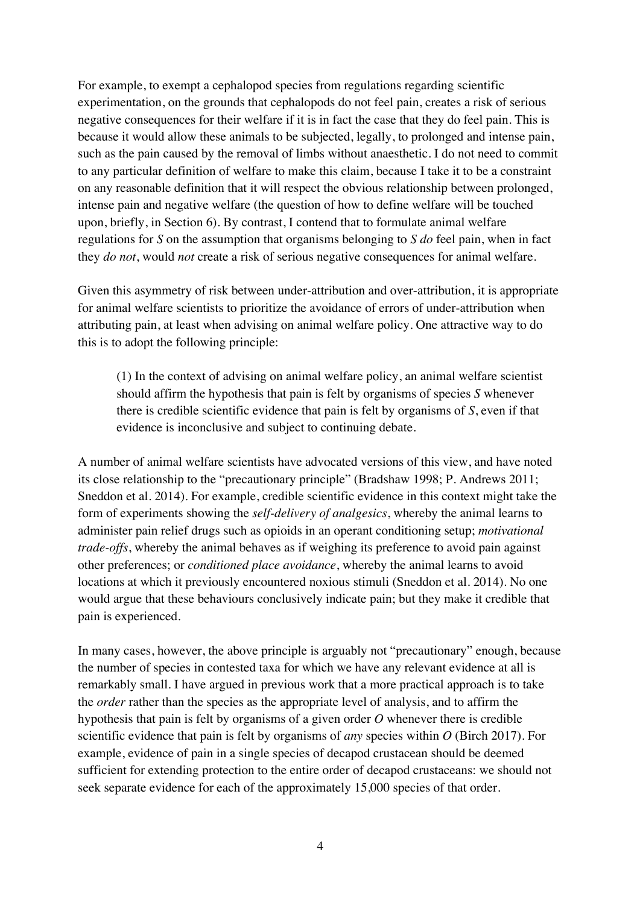For example, to exempt a cephalopod species from regulations regarding scientific experimentation, on the grounds that cephalopods do not feel pain, creates a risk of serious negative consequences for their welfare if it is in fact the case that they do feel pain. This is because it would allow these animals to be subjected, legally, to prolonged and intense pain, such as the pain caused by the removal of limbs without anaesthetic. I do not need to commit to any particular definition of welfare to make this claim, because I take it to be a constraint on any reasonable definition that it will respect the obvious relationship between prolonged, intense pain and negative welfare (the question of how to define welfare will be touched upon, briefly, in Section 6). By contrast, I contend that to formulate animal welfare regulations for *S* on the assumption that organisms belonging to *S do* feel pain, when in fact they *do not*, would *not* create a risk of serious negative consequences for animal welfare.

Given this asymmetry of risk between under-attribution and over-attribution, it is appropriate for animal welfare scientists to prioritize the avoidance of errors of under-attribution when attributing pain, at least when advising on animal welfare policy. One attractive way to do this is to adopt the following principle:

(1) In the context of advising on animal welfare policy, an animal welfare scientist should affirm the hypothesis that pain is felt by organisms of species *S* whenever there is credible scientific evidence that pain is felt by organisms of *S*, even if that evidence is inconclusive and subject to continuing debate.

A number of animal welfare scientists have advocated versions of this view, and have noted its close relationship to the "precautionary principle" (Bradshaw 1998; P. Andrews 2011; Sneddon et al. 2014). For example, credible scientific evidence in this context might take the form of experiments showing the *self-delivery of analgesics*, whereby the animal learns to administer pain relief drugs such as opioids in an operant conditioning setup; *motivational trade-offs*, whereby the animal behaves as if weighing its preference to avoid pain against other preferences; or *conditioned place avoidance*, whereby the animal learns to avoid locations at which it previously encountered noxious stimuli (Sneddon et al. 2014). No one would argue that these behaviours conclusively indicate pain; but they make it credible that pain is experienced.

In many cases, however, the above principle is arguably not "precautionary" enough, because the number of species in contested taxa for which we have any relevant evidence at all is remarkably small. I have argued in previous work that a more practical approach is to take the *order* rather than the species as the appropriate level of analysis, and to affirm the hypothesis that pain is felt by organisms of a given order *O* whenever there is credible scientific evidence that pain is felt by organisms of *any* species within *O* (Birch 2017). For example, evidence of pain in a single species of decapod crustacean should be deemed sufficient for extending protection to the entire order of decapod crustaceans: we should not seek separate evidence for each of the approximately 15,000 species of that order.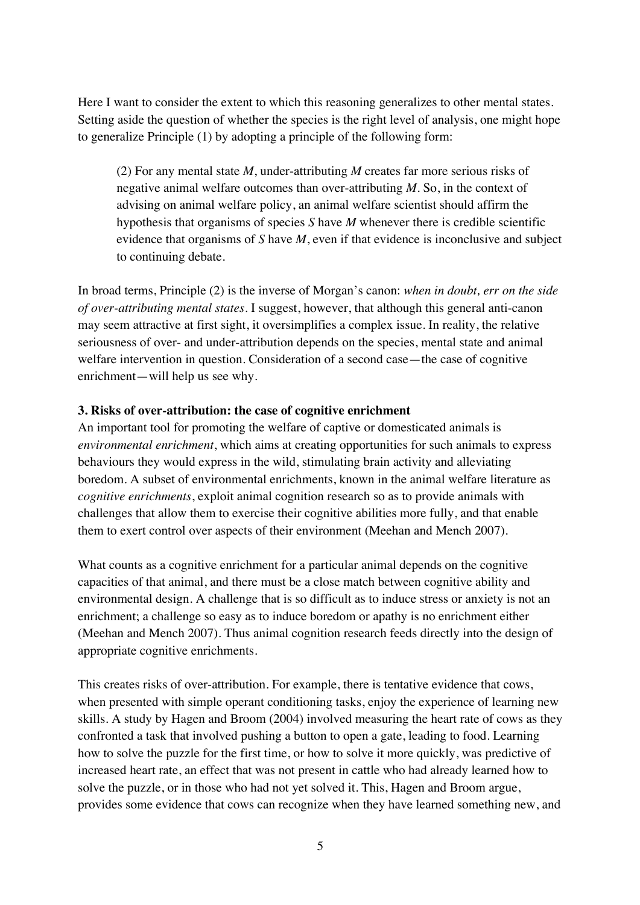Here I want to consider the extent to which this reasoning generalizes to other mental states. Setting aside the question of whether the species is the right level of analysis, one might hope to generalize Principle (1) by adopting a principle of the following form:

(2) For any mental state *M*, under-attributing *M* creates far more serious risks of negative animal welfare outcomes than over-attributing *M*. So, in the context of advising on animal welfare policy, an animal welfare scientist should affirm the hypothesis that organisms of species *S* have *M* whenever there is credible scientific evidence that organisms of *S* have *M*, even if that evidence is inconclusive and subject to continuing debate.

In broad terms, Principle (2) is the inverse of Morgan's canon: *when in doubt, err on the side of over-attributing mental states*. I suggest, however, that although this general anti-canon may seem attractive at first sight, it oversimplifies a complex issue. In reality, the relative seriousness of over- and under-attribution depends on the species, mental state and animal welfare intervention in question. Consideration of a second case—the case of cognitive enrichment—will help us see why.

### **3. Risks of over-attribution: the case of cognitive enrichment**

An important tool for promoting the welfare of captive or domesticated animals is *environmental enrichment*, which aims at creating opportunities for such animals to express behaviours they would express in the wild, stimulating brain activity and alleviating boredom. A subset of environmental enrichments, known in the animal welfare literature as *cognitive enrichments*, exploit animal cognition research so as to provide animals with challenges that allow them to exercise their cognitive abilities more fully, and that enable them to exert control over aspects of their environment (Meehan and Mench 2007).

What counts as a cognitive enrichment for a particular animal depends on the cognitive capacities of that animal, and there must be a close match between cognitive ability and environmental design. A challenge that is so difficult as to induce stress or anxiety is not an enrichment; a challenge so easy as to induce boredom or apathy is no enrichment either (Meehan and Mench 2007). Thus animal cognition research feeds directly into the design of appropriate cognitive enrichments.

This creates risks of over-attribution. For example, there is tentative evidence that cows, when presented with simple operant conditioning tasks, enjoy the experience of learning new skills. A study by Hagen and Broom (2004) involved measuring the heart rate of cows as they confronted a task that involved pushing a button to open a gate, leading to food. Learning how to solve the puzzle for the first time, or how to solve it more quickly, was predictive of increased heart rate, an effect that was not present in cattle who had already learned how to solve the puzzle, or in those who had not yet solved it. This, Hagen and Broom argue, provides some evidence that cows can recognize when they have learned something new, and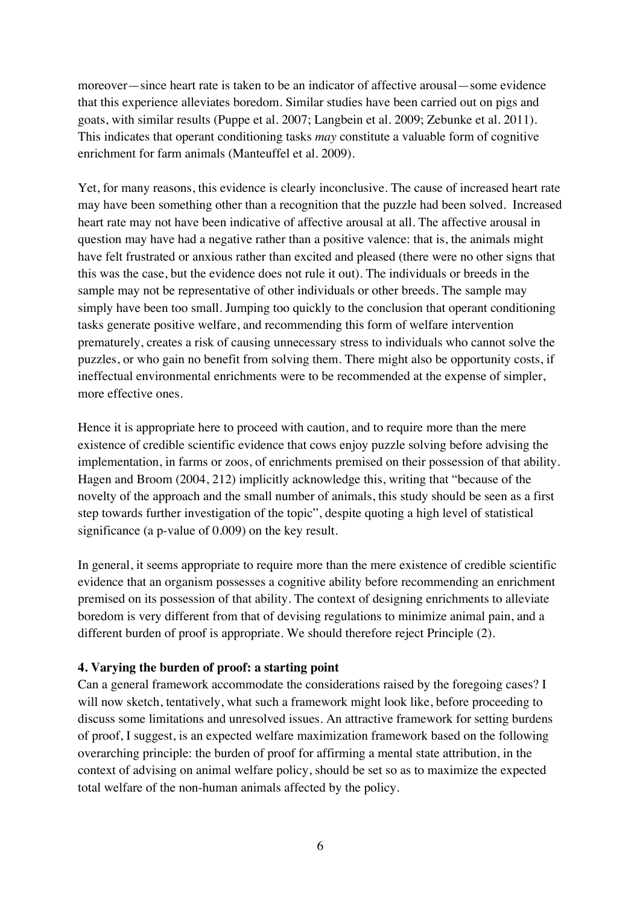moreover—since heart rate is taken to be an indicator of affective arousal—some evidence that this experience alleviates boredom. Similar studies have been carried out on pigs and goats, with similar results (Puppe et al. 2007; Langbein et al. 2009; Zebunke et al. 2011). This indicates that operant conditioning tasks *may* constitute a valuable form of cognitive enrichment for farm animals (Manteuffel et al. 2009).

Yet, for many reasons, this evidence is clearly inconclusive. The cause of increased heart rate may have been something other than a recognition that the puzzle had been solved. Increased heart rate may not have been indicative of affective arousal at all. The affective arousal in question may have had a negative rather than a positive valence: that is, the animals might have felt frustrated or anxious rather than excited and pleased (there were no other signs that this was the case, but the evidence does not rule it out). The individuals or breeds in the sample may not be representative of other individuals or other breeds. The sample may simply have been too small. Jumping too quickly to the conclusion that operant conditioning tasks generate positive welfare, and recommending this form of welfare intervention prematurely, creates a risk of causing unnecessary stress to individuals who cannot solve the puzzles, or who gain no benefit from solving them. There might also be opportunity costs, if ineffectual environmental enrichments were to be recommended at the expense of simpler, more effective ones.

Hence it is appropriate here to proceed with caution, and to require more than the mere existence of credible scientific evidence that cows enjoy puzzle solving before advising the implementation, in farms or zoos, of enrichments premised on their possession of that ability. Hagen and Broom (2004, 212) implicitly acknowledge this, writing that "because of the novelty of the approach and the small number of animals, this study should be seen as a first step towards further investigation of the topic", despite quoting a high level of statistical significance (a p-value of 0.009) on the key result.

In general, it seems appropriate to require more than the mere existence of credible scientific evidence that an organism possesses a cognitive ability before recommending an enrichment premised on its possession of that ability. The context of designing enrichments to alleviate boredom is very different from that of devising regulations to minimize animal pain, and a different burden of proof is appropriate. We should therefore reject Principle (2).

## **4. Varying the burden of proof: a starting point**

Can a general framework accommodate the considerations raised by the foregoing cases? I will now sketch, tentatively, what such a framework might look like, before proceeding to discuss some limitations and unresolved issues. An attractive framework for setting burdens of proof, I suggest, is an expected welfare maximization framework based on the following overarching principle: the burden of proof for affirming a mental state attribution, in the context of advising on animal welfare policy, should be set so as to maximize the expected total welfare of the non-human animals affected by the policy.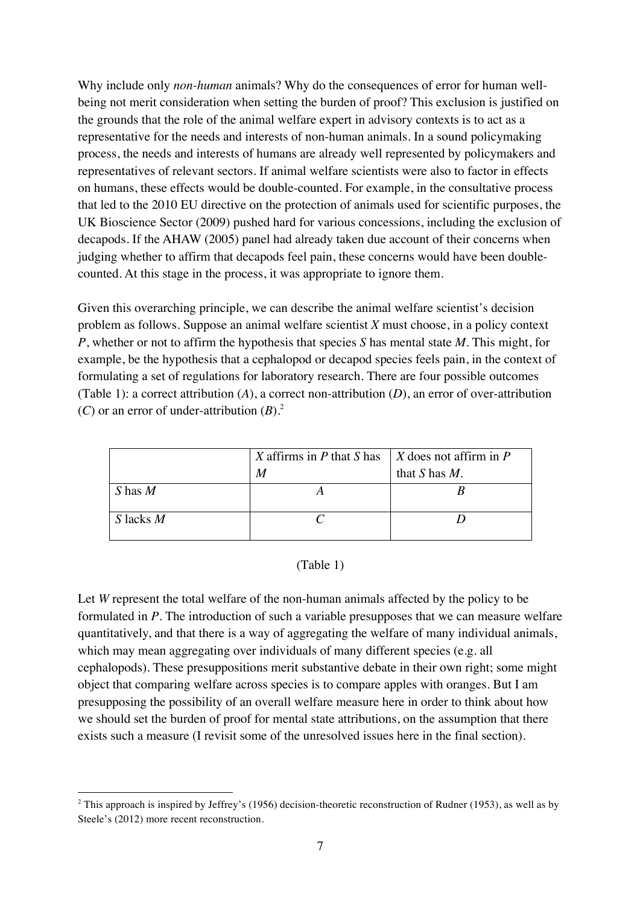Why include only *non-human* animals? Why do the consequences of error for human wellbeing not merit consideration when setting the burden of proof? This exclusion is justified on the grounds that the role of the animal welfare expert in advisory contexts is to act as a representative for the needs and interests of non-human animals. In a sound policymaking process, the needs and interests of humans are already well represented by policymakers and representatives of relevant sectors. If animal welfare scientists were also to factor in effects on humans, these effects would be double-counted. For example, in the consultative process that led to the 2010 EU directive on the protection of animals used for scientific purposes, the UK Bioscience Sector (2009) pushed hard for various concessions, including the exclusion of decapods. If the AHAW (2005) panel had already taken due account of their concerns when judging whether to affirm that decapods feel pain, these concerns would have been doublecounted. At this stage in the process, it was appropriate to ignore them.

Given this overarching principle, we can describe the animal welfare scientist's decision problem as follows. Suppose an animal welfare scientist *X* must choose, in a policy context *P*, whether or not to affirm the hypothesis that species *S* has mental state *M*. This might, for example, be the hypothesis that a cephalopod or decapod species feels pain, in the context of formulating a set of regulations for laboratory research. There are four possible outcomes (Table 1): a correct attribution (*A*), a correct non-attribution (*D*), an error of over-attribution (*C*) or an error of under-attribution  $(B)$ .<sup>2</sup>

|             | X affirms in $P$ that $S$ has | $\mid$ X does not affirm in P |
|-------------|-------------------------------|-------------------------------|
|             | $\boldsymbol{M}$              | that $S$ has $M$ .            |
| $S$ has $M$ |                               |                               |
| S lacks $M$ |                               |                               |

## (Table 1)

Let *W* represent the total welfare of the non-human animals affected by the policy to be formulated in *P*. The introduction of such a variable presupposes that we can measure welfare quantitatively, and that there is a way of aggregating the welfare of many individual animals, which may mean aggregating over individuals of many different species (e.g. all cephalopods). These presuppositions merit substantive debate in their own right; some might object that comparing welfare across species is to compare apples with oranges. But I am presupposing the possibility of an overall welfare measure here in order to think about how we should set the burden of proof for mental state attributions, on the assumption that there exists such a measure (I revisit some of the unresolved issues here in the final section).

 

 $2$  This approach is inspired by Jeffrey's (1956) decision-theoretic reconstruction of Rudner (1953), as well as by Steele's (2012) more recent reconstruction.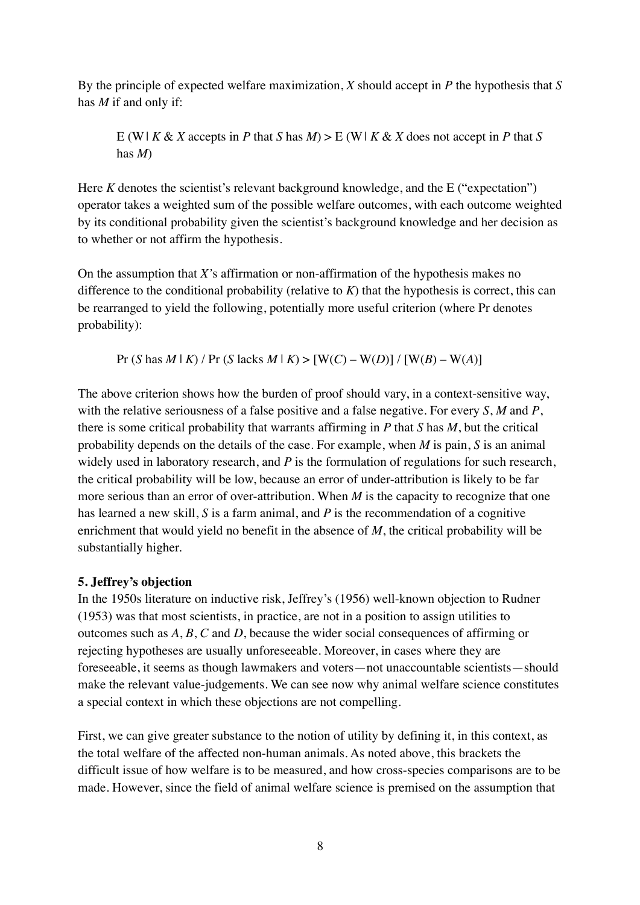By the principle of expected welfare maximization, *X* should accept in *P* the hypothesis that *S* has *M* if and only if:

E (W|  $K \& X$  accepts in *P* that  $S$  has  $M$ ) > E (W|  $K \& X$  does not accept in *P* that  $S$ has *M*)

Here *K* denotes the scientist's relevant background knowledge, and the E ("expectation") operator takes a weighted sum of the possible welfare outcomes, with each outcome weighted by its conditional probability given the scientist's background knowledge and her decision as to whether or not affirm the hypothesis.

On the assumption that *X'*s affirmation or non-affirmation of the hypothesis makes no difference to the conditional probability (relative to  $K$ ) that the hypothesis is correct, this can be rearranged to yield the following, potentially more useful criterion (where Pr denotes probability):

Pr (*S* has *M* | *K*) / Pr (*S* lacks *M* | *K*) > [W(*C*) – W(*D*)] / [W(*B*) – W(*A*)]

The above criterion shows how the burden of proof should vary, in a context-sensitive way, with the relative seriousness of a false positive and a false negative. For every *S*, *M* and *P*, there is some critical probability that warrants affirming in *P* that *S* has *M*, but the critical probability depends on the details of the case. For example, when *M* is pain, *S* is an animal widely used in laboratory research, and *P* is the formulation of regulations for such research, the critical probability will be low, because an error of under-attribution is likely to be far more serious than an error of over-attribution. When *M* is the capacity to recognize that one has learned a new skill, *S* is a farm animal, and *P* is the recommendation of a cognitive enrichment that would yield no benefit in the absence of *M*, the critical probability will be substantially higher.

# **5. Jeffrey's objection**

In the 1950s literature on inductive risk, Jeffrey's (1956) well-known objection to Rudner (1953) was that most scientists, in practice, are not in a position to assign utilities to outcomes such as *A*, *B*, *C* and *D*, because the wider social consequences of affirming or rejecting hypotheses are usually unforeseeable. Moreover, in cases where they are foreseeable, it seems as though lawmakers and voters—not unaccountable scientists—should make the relevant value-judgements. We can see now why animal welfare science constitutes a special context in which these objections are not compelling.

First, we can give greater substance to the notion of utility by defining it, in this context, as the total welfare of the affected non-human animals. As noted above, this brackets the difficult issue of how welfare is to be measured, and how cross-species comparisons are to be made. However, since the field of animal welfare science is premised on the assumption that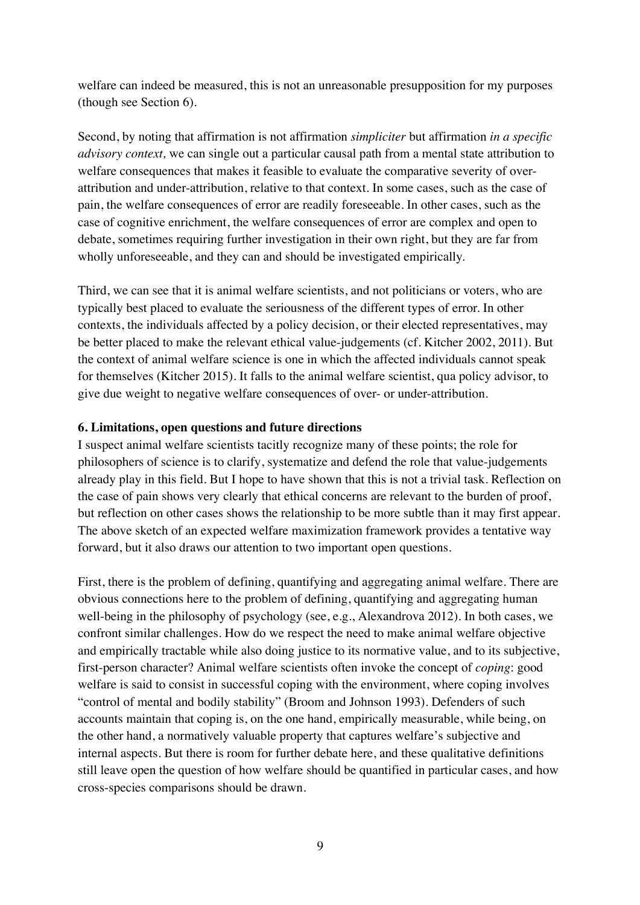welfare can indeed be measured, this is not an unreasonable presupposition for my purposes (though see Section 6).

Second, by noting that affirmation is not affirmation *simpliciter* but affirmation *in a specific advisory context,* we can single out a particular causal path from a mental state attribution to welfare consequences that makes it feasible to evaluate the comparative severity of overattribution and under-attribution, relative to that context. In some cases, such as the case of pain, the welfare consequences of error are readily foreseeable. In other cases, such as the case of cognitive enrichment, the welfare consequences of error are complex and open to debate, sometimes requiring further investigation in their own right, but they are far from wholly unforeseeable, and they can and should be investigated empirically.

Third, we can see that it is animal welfare scientists, and not politicians or voters, who are typically best placed to evaluate the seriousness of the different types of error. In other contexts, the individuals affected by a policy decision, or their elected representatives, may be better placed to make the relevant ethical value-judgements (cf. Kitcher 2002, 2011). But the context of animal welfare science is one in which the affected individuals cannot speak for themselves (Kitcher 2015). It falls to the animal welfare scientist, qua policy advisor, to give due weight to negative welfare consequences of over- or under-attribution.

### **6. Limitations, open questions and future directions**

I suspect animal welfare scientists tacitly recognize many of these points; the role for philosophers of science is to clarify, systematize and defend the role that value-judgements already play in this field. But I hope to have shown that this is not a trivial task. Reflection on the case of pain shows very clearly that ethical concerns are relevant to the burden of proof, but reflection on other cases shows the relationship to be more subtle than it may first appear. The above sketch of an expected welfare maximization framework provides a tentative way forward, but it also draws our attention to two important open questions.

First, there is the problem of defining, quantifying and aggregating animal welfare. There are obvious connections here to the problem of defining, quantifying and aggregating human well-being in the philosophy of psychology (see, e.g., Alexandrova 2012). In both cases, we confront similar challenges. How do we respect the need to make animal welfare objective and empirically tractable while also doing justice to its normative value, and to its subjective, first-person character? Animal welfare scientists often invoke the concept of *coping*: good welfare is said to consist in successful coping with the environment, where coping involves "control of mental and bodily stability" (Broom and Johnson 1993). Defenders of such accounts maintain that coping is, on the one hand, empirically measurable, while being, on the other hand, a normatively valuable property that captures welfare's subjective and internal aspects. But there is room for further debate here, and these qualitative definitions still leave open the question of how welfare should be quantified in particular cases, and how cross-species comparisons should be drawn.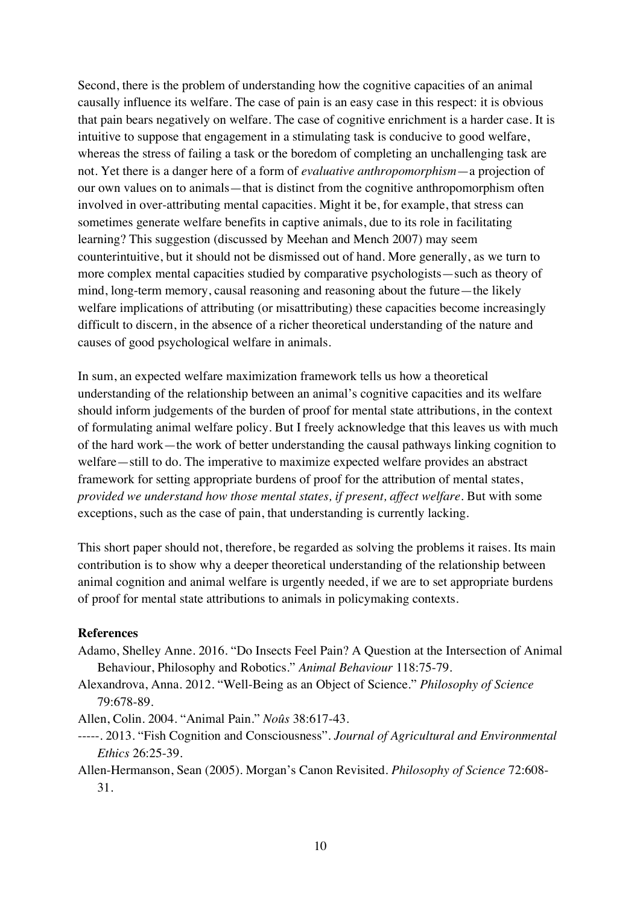Second, there is the problem of understanding how the cognitive capacities of an animal causally influence its welfare. The case of pain is an easy case in this respect: it is obvious that pain bears negatively on welfare. The case of cognitive enrichment is a harder case. It is intuitive to suppose that engagement in a stimulating task is conducive to good welfare, whereas the stress of failing a task or the boredom of completing an unchallenging task are not. Yet there is a danger here of a form of *evaluative anthropomorphism*—a projection of our own values on to animals—that is distinct from the cognitive anthropomorphism often involved in over-attributing mental capacities. Might it be, for example, that stress can sometimes generate welfare benefits in captive animals, due to its role in facilitating learning? This suggestion (discussed by Meehan and Mench 2007) may seem counterintuitive, but it should not be dismissed out of hand. More generally, as we turn to more complex mental capacities studied by comparative psychologists—such as theory of mind, long-term memory, causal reasoning and reasoning about the future—the likely welfare implications of attributing (or misattributing) these capacities become increasingly difficult to discern, in the absence of a richer theoretical understanding of the nature and causes of good psychological welfare in animals.

In sum, an expected welfare maximization framework tells us how a theoretical understanding of the relationship between an animal's cognitive capacities and its welfare should inform judgements of the burden of proof for mental state attributions, in the context of formulating animal welfare policy. But I freely acknowledge that this leaves us with much of the hard work—the work of better understanding the causal pathways linking cognition to welfare—still to do. The imperative to maximize expected welfare provides an abstract framework for setting appropriate burdens of proof for the attribution of mental states, *provided we understand how those mental states, if present, affect welfare*. But with some exceptions, such as the case of pain, that understanding is currently lacking.

This short paper should not, therefore, be regarded as solving the problems it raises. Its main contribution is to show why a deeper theoretical understanding of the relationship between animal cognition and animal welfare is urgently needed, if we are to set appropriate burdens of proof for mental state attributions to animals in policymaking contexts.

#### **References**

- Adamo, Shelley Anne. 2016. "Do Insects Feel Pain? A Question at the Intersection of Animal Behaviour, Philosophy and Robotics." *Animal Behaviour* 118:75-79.
- Alexandrova, Anna. 2012. "Well-Being as an Object of Science." *Philosophy of Science* 79:678-89.
- Allen, Colin. 2004. "Animal Pain." *Noûs* 38:617-43.
- -----. 2013. "Fish Cognition and Consciousness". *Journal of Agricultural and Environmental Ethics* 26:25-39.
- Allen-Hermanson, Sean (2005). Morgan's Canon Revisited. *Philosophy of Science* 72:608- 31.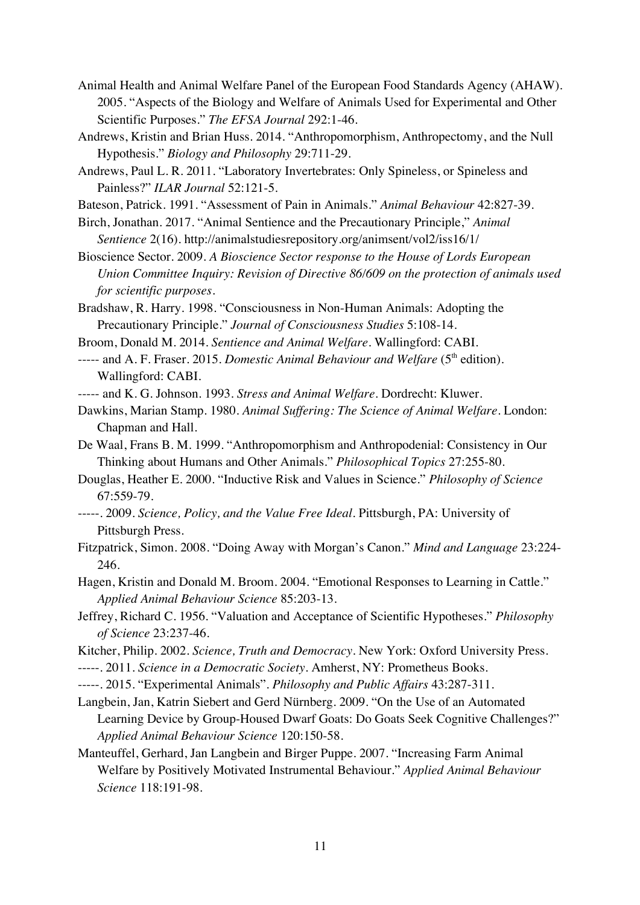- Animal Health and Animal Welfare Panel of the European Food Standards Agency (AHAW). 2005. "Aspects of the Biology and Welfare of Animals Used for Experimental and Other Scientific Purposes." *The EFSA Journal* 292:1-46.
- Andrews, Kristin and Brian Huss. 2014. "Anthropomorphism, Anthropectomy, and the Null Hypothesis." *Biology and Philosophy* 29:711-29.
- Andrews, Paul L. R. 2011. "Laboratory Invertebrates: Only Spineless, or Spineless and Painless?" *ILAR Journal* 52:121-5.
- Bateson, Patrick. 1991. "Assessment of Pain in Animals." *Animal Behaviour* 42:827-39.
- Birch, Jonathan. 2017. "Animal Sentience and the Precautionary Principle," *Animal Sentience* 2(16). http://animalstudiesrepository.org/animsent/vol2/iss16/1/
- Bioscience Sector. 2009. *A Bioscience Sector response to the House of Lords European Union Committee Inquiry: Revision of Directive 86/609 on the protection of animals used for scientific purposes.*
- Bradshaw, R. Harry. 1998. "Consciousness in Non-Human Animals: Adopting the Precautionary Principle." *Journal of Consciousness Studies* 5:108-14.
- Broom, Donald M. 2014. *Sentience and Animal Welfare.* Wallingford: CABI.
- ----- and A. F. Fraser. 2015. *Domestic Animal Behaviour and Welfare* (5<sup>th</sup> edition). Wallingford: CABI.
- ----- and K. G. Johnson. 1993. *Stress and Animal Welfare*. Dordrecht: Kluwer.
- Dawkins, Marian Stamp. 1980. *Animal Suffering: The Science of Animal Welfare*. London: Chapman and Hall.
- De Waal, Frans B. M. 1999. "Anthropomorphism and Anthropodenial: Consistency in Our Thinking about Humans and Other Animals." *Philosophical Topics* 27:255-80.
- Douglas, Heather E. 2000. "Inductive Risk and Values in Science." *Philosophy of Science* 67:559-79.
- -----. 2009. *Science, Policy, and the Value Free Ideal*. Pittsburgh, PA: University of Pittsburgh Press.
- Fitzpatrick, Simon. 2008. "Doing Away with Morgan's Canon." *Mind and Language* 23:224- 246.
- Hagen, Kristin and Donald M. Broom. 2004. "Emotional Responses to Learning in Cattle." *Applied Animal Behaviour Science* 85:203-13.
- Jeffrey, Richard C. 1956. "Valuation and Acceptance of Scientific Hypotheses." *Philosophy of Science* 23:237-46.
- Kitcher, Philip. 2002. *Science, Truth and Democracy*. New York: Oxford University Press.
- -----. 2011. *Science in a Democratic Society*. Amherst, NY: Prometheus Books.
- -----. 2015. "Experimental Animals". *Philosophy and Public Affairs* 43:287-311.
- Langbein, Jan, Katrin Siebert and Gerd Nürnberg. 2009. "On the Use of an Automated Learning Device by Group-Housed Dwarf Goats: Do Goats Seek Cognitive Challenges?" *Applied Animal Behaviour Science* 120:150-58.
- Manteuffel, Gerhard, Jan Langbein and Birger Puppe. 2007. "Increasing Farm Animal Welfare by Positively Motivated Instrumental Behaviour." *Applied Animal Behaviour Science* 118:191-98.